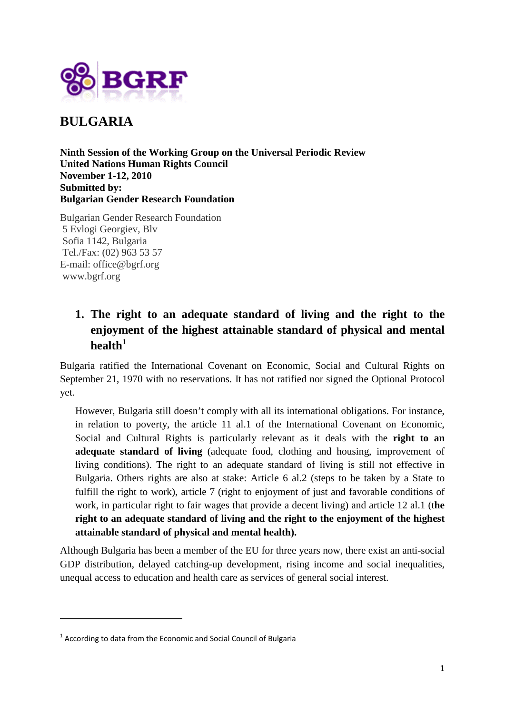

**BULGARIA**

**Ninth Session of the Working Group on the Universal Periodic Review United Nations Human Rights Council November 1-12, 2010 Submitted by: Bulgarian Gender Research Foundation**

Bulgarian Gender Research Foundation 5 Evlogi Georgiev, Blv Sofia 1142, Bulgaria Tel./Fax: (02) 963 53 57 E-mail: office@bgrf.org www.bgrf.org

# **1. The right to an adequate standard of living and the right to the enjoyment of the highest attainable standard of physical and mental health[1](#page-0-0)**

Bulgaria ratified the International Covenant on Economic, Social and Cultural Rights on September 21, 1970 with no reservations. It has not ratified nor signed the Optional Protocol yet.

However, Bulgaria still doesn't comply with all its international obligations. For instance, in relation to poverty, the article 11 al.1 of the International Covenant on Economic, Social and Cultural Rights is particularly relevant as it deals with the **right to an adequate standard of living** (adequate food, clothing and housing, improvement of living conditions). The right to an adequate standard of living is still not effective in Bulgaria. Others rights are also at stake: Article 6 al.2 (steps to be taken by a State to fulfill the right to work), article 7 (right to enjoyment of just and favorable conditions of work, in particular right to fair wages that provide a decent living) and article 12 al.1 (t**he right to an adequate standard of living and the right to the enjoyment of the highest attainable standard of physical and mental health).** 

Although Bulgaria has been a member of the EU for three years now, there exist an anti-social GDP distribution, delayed catching-up development, rising income and social inequalities, unequal access to education and health care as services of general social interest.

 $\overline{a}$ 

<span id="page-0-0"></span> $1$  According to data from the Economic and Social Council of Bulgaria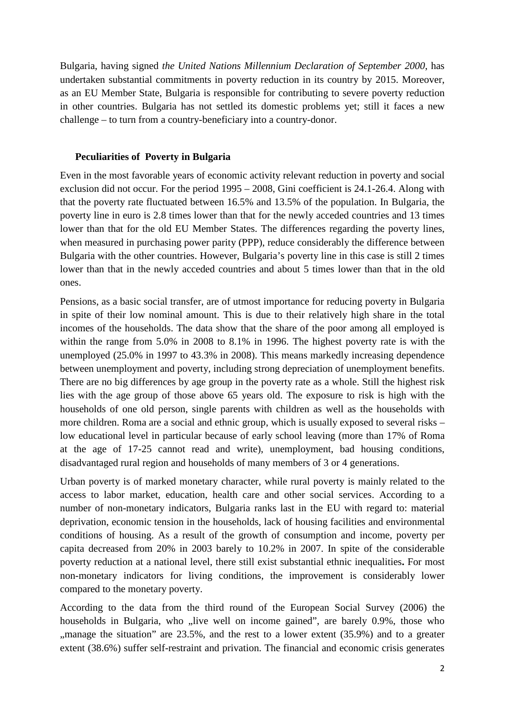Bulgaria, having signed *the United Nations Millennium Declaration of September 2000*, has undertaken substantial commitments in poverty reduction in its country by 2015. Moreover, as an EU Member State, Bulgaria is responsible for contributing to severe poverty reduction in other countries. Bulgaria has not settled its domestic problems yet; still it faces a new challenge – to turn from a country-beneficiary into a country-donor.

### **Peculiarities of Poverty in Bulgaria**

Even in the most favorable years of economic activity relevant reduction in poverty and social exclusion did not occur. For the period 1995 – 2008, Gini coefficient is 24.1-26.4. Along with that the poverty rate fluctuated between 16.5% and 13.5% of the population. In Bulgaria, the poverty line in euro is 2.8 times lower than that for the newly acceded countries and 13 times lower than that for the old EU Member States. The differences regarding the poverty lines, when measured in purchasing power parity (PPP), reduce considerably the difference between Bulgaria with the other countries. However, Bulgaria's poverty line in this case is still 2 times lower than that in the newly acceded countries and about 5 times lower than that in the old ones.

Pensions, as a basic social transfer, are of utmost importance for reducing poverty in Bulgaria in spite of their low nominal amount. This is due to their relatively high share in the total incomes of the households. The data show that the share of the poor among all employed is within the range from 5.0% in 2008 to 8.1% in 1996. The highest poverty rate is with the unemployed (25.0% in 1997 to 43.3% in 2008). This means markedly increasing dependence between unemployment and poverty, including strong depreciation of unemployment benefits. There are no big differences by age group in the poverty rate as a whole. Still the highest risk lies with the age group of those above 65 years old. The exposure to risk is high with the households of one old person, single parents with children as well as the households with more children. Roma are a social and ethnic group, which is usually exposed to several risks – low educational level in particular because of early school leaving (more than 17% of Roma at the age of 17-25 cannot read and write), unemployment, bad housing conditions, disadvantaged rural region and households of many members of 3 or 4 generations.

Urban poverty is of marked monetary character, while rural poverty is mainly related to the access to labor market, education, health care and other social services. According to a number of non-monetary indicators, Bulgaria ranks last in the EU with regard to: material deprivation, economic tension in the households, lack of housing facilities and environmental conditions of housing. As a result of the growth of consumption and income, poverty per capita decreased from 20% in 2003 barely to 10.2% in 2007. In spite of the considerable poverty reduction at a national level, there still exist substantial ethnic inequalities**.** For most non-monetary indicators for living conditions, the improvement is considerably lower compared to the monetary poverty.

According to the data from the third round of the European Social Survey (2006) the households in Bulgaria, who "live well on income gained", are barely 0.9%, those who "manage the situation" are 23.5%, and the rest to a lower extent (35.9%) and to a greater extent (38.6%) suffer self-restraint and privation. The financial and economic crisis generates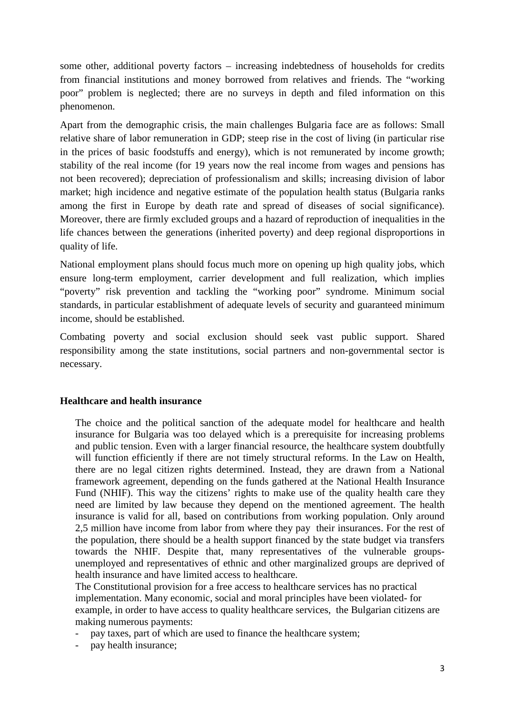some other, additional poverty factors – increasing indebtedness of households for credits from financial institutions and money borrowed from relatives and friends. The "working poor" problem is neglected; there are no surveys in depth and filed information on this phenomenon.

Apart from the demographic crisis, the main challenges Bulgaria face are as follows: Small relative share of labor remuneration in GDP; steep rise in the cost of living (in particular rise in the prices of basic foodstuffs and energy), which is not remunerated by income growth; stability of the real income (for 19 years now the real income from wages and pensions has not been recovered); depreciation of professionalism and skills; increasing division of labor market; high incidence and negative estimate of the population health status (Bulgaria ranks among the first in Europe by death rate and spread of diseases of social significance). Moreover, there are firmly excluded groups and a hazard of reproduction of inequalities in the life chances between the generations (inherited poverty) and deep regional disproportions in quality of life.

National employment plans should focus much more on opening up high quality jobs, which ensure long-term employment, carrier development and full realization, which implies "poverty" risk prevention and tackling the "working poor" syndrome. Minimum social standards, in particular establishment of adequate levels of security and guaranteed minimum income, should be established.

Combating poverty and social exclusion should seek vast public support. Shared responsibility among the state institutions, social partners and non-governmental sector is necessary.

# **Healthcare and health insurance**

The choice and the political sanction of the adequate model for healthcare and health insurance for Bulgaria was too delayed which is a prerequisite for increasing problems and public tension. Even with a larger financial resource, the healthcare system doubtfully will function efficiently if there are not timely structural reforms. In the Law on Health, there are no legal citizen rights determined. Instead, they are drawn from a National framework agreement, depending on the funds gathered at the National Health Insurance Fund (NHIF). This way the citizens' rights to make use of the quality health care they need are limited by law because they depend on the mentioned agreement. The health insurance is valid for all, based on contributions from working population. Only around 2,5 million have income from labor from where they pay their insurances. For the rest of the population, there should be a health support financed by the state budget via transfers towards the NHIF. Despite that, many representatives of the vulnerable groupsunemployed and representatives of ethnic and other marginalized groups are deprived of health insurance and have limited access to healthcare.

Тhe Constitutional provision for a free access to healthcare services has no practical implementation. Many economic, social and moral principles have been violated- for example, in order to have access to quality healthcare services, the Bulgarian citizens are making numerous payments:

- pay taxes, part of which are used to finance the healthcare system;
- pay health insurance;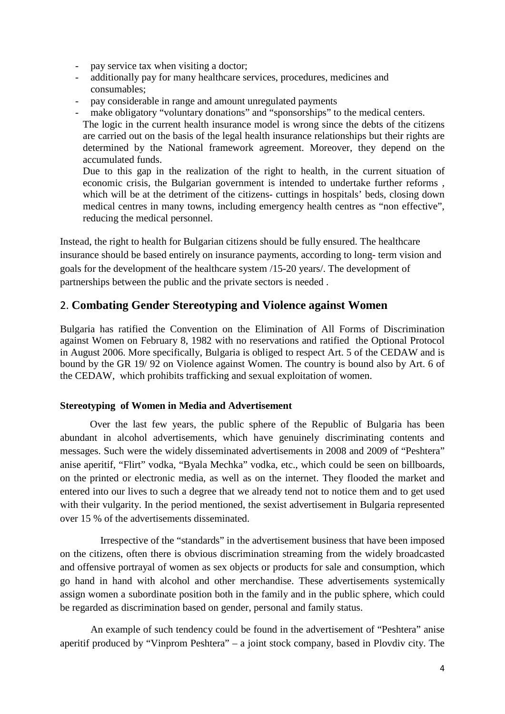- pay service tax when visiting a doctor;
- additionally pay for many healthcare services, procedures, medicines and consumables;
- pay considerable in range and amount unregulated payments
- make obligatory "voluntary donations" and "sponsorships" to the medical centers.

The logic in the current health insurance model is wrong since the debts of the citizens are carried out on the basis of the legal health insurance relationships but their rights are determined by the National framework agreement. Moreover, they depend on the accumulated funds.

Due to this gap in the realization of the right to health, in the current situation of economic crisis, the Bulgarian government is intended to undertake further reforms , which will be at the detriment of the citizens- cuttings in hospitals' beds, closing down medical centres in many towns, including emergency health centres as "non effective", reducing the medical personnel.

Instead, the right to health for Bulgarian citizens should be fully ensured. The healthcare insurance should be based entirely on insurance payments, according to long- term vision and goals for the development of the healthcare system /15-20 years/. The development of partnerships between the public and the private sectors is needed .

# 2. **Combating Gender Stereotyping and Violence against Women**

Bulgaria has ratified the Convention on the Elimination of All Forms of Discrimination against Women on February 8, 1982 with no reservations and ratified the Optional Protocol in August 2006. More specifically, Bulgaria is obliged to respect Art. 5 of the CEDAW and is bound by the GR 19/ 92 on Violence against Women. The country is bound also by Art. 6 of the CEDAW, which prohibits trafficking and sexual exploitation of women.

#### **Stereotyping of Women in Media and Advertisement**

Over the last few years, the public sphere of the Republic of Bulgaria has been abundant in alcohol advertisements, which have genuinely discriminating contents and messages. Such were the widely disseminated advertisements in 2008 and 2009 of "Peshtera" anise aperitif, "Flirt" vodka, "Byala Mechka" vodka, etc., which could be seen on billboards, on the printed or electronic media, as well as on the internet. They flooded the market and entered into our lives to such a degree that we already tend not to notice them and to get used with their vulgarity. In the period mentioned, the sexist advertisement in Bulgaria represented over 15 % of the advertisements disseminated.

 Irrespective of the "standards" in the advertisement business that have been imposed on the citizens, often there is obvious discrimination streaming from the widely broadcasted and offensive portrayal of women as sex objects or products for sale and consumption, which go hand in hand with alcohol and other merchandise. These advertisements systemically assign women a subordinate position both in the family and in the public sphere, which could be regarded as discrimination based on gender, personal and family status.

An example of such tendency could be found in the advertisement of "Peshtera" anise aperitif produced by "Vinprom Peshtera" – a joint stock company, based in Plovdiv city. The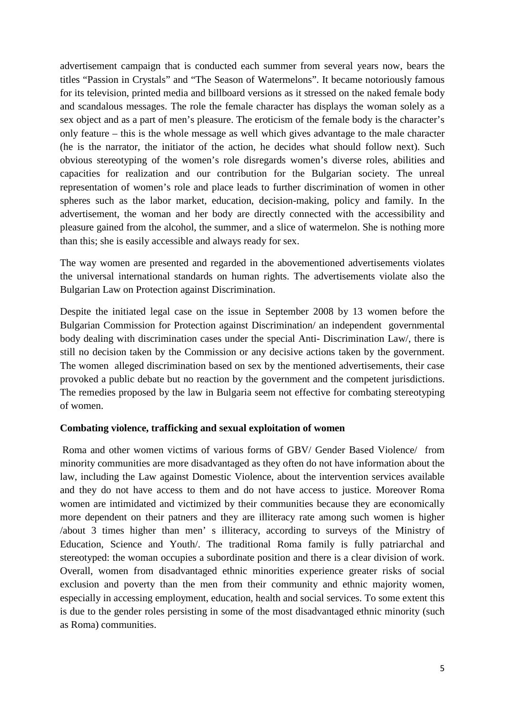advertisement campaign that is conducted each summer from several years now, bears the titles "Passion in Crystals" and "The Season of Watermelons". It became notoriously famous for its television, printed media and billboard versions as it stressed on the naked female body and scandalous messages. The role the female character has displays the woman solely as a sex object and as a part of men's pleasure. The eroticism of the female body is the character's only feature – this is the whole message as well which gives advantage to the male character (he is the narrator, the initiator of the action, he decides what should follow next). Such obvious stereotyping of the women's role disregards women's diverse roles, abilities and capacities for realization and our contribution for the Bulgarian society. The unreal representation of women's role and place leads to further discrimination of women in other spheres such as the labor market, education, decision-making, policy and family. In the advertisement, the woman and her body are directly connected with the accessibility and pleasure gained from the alcohol, the summer, and a slice of watermelon. She is nothing more than this; she is easily accessible and always ready for sex.

The way women are presented and regarded in the abovementioned advertisements violates the universal international standards on human rights. The advertisements violate also the Bulgarian Law on Protection against Discrimination.

Despite the initiated legal case on the issue in September 2008 by 13 women before the Bulgarian Commission for Protection against Discrimination/ an independent governmental body dealing with discrimination cases under the special Anti- Discrimination Law/, there is still no decision taken by the Commission or any decisive actions taken by the government. The women alleged discrimination based on sex by the mentioned advertisements, their case provoked a public debate but no reaction by the government and the competent jurisdictions. The remedies proposed by the law in Bulgaria seem not effective for combating stereotyping of women.

# **Combating violence, trafficking and sexual exploitation of women**

Roma and other women victims of various forms of GBV/ Gender Based Violence/ from minority communities are more disadvantaged as they often do not have information about the law, including the Law against Domestic Violence, about the intervention services available and they do not have access to them and do not have access to justice. Moreover Roma women are intimidated and victimized by their communities because they are economically more dependent on their patners and they are illiteracy rate among such women is higher /about 3 times higher than men' s illiteracy, according to surveys of the Ministry of Education, Science and Youth/. The traditional Roma family is fully patriarchal and stereotyped: the woman occupies a subordinate position and there is a clear division of work. Overall, women from disadvantaged ethnic minorities experience greater risks of social exclusion and poverty than the men from their community and ethnic majority women, especially in accessing employment, education, health and social services. To some extent this is due to the gender roles persisting in some of the most disadvantaged ethnic minority (such as Roma) communities.